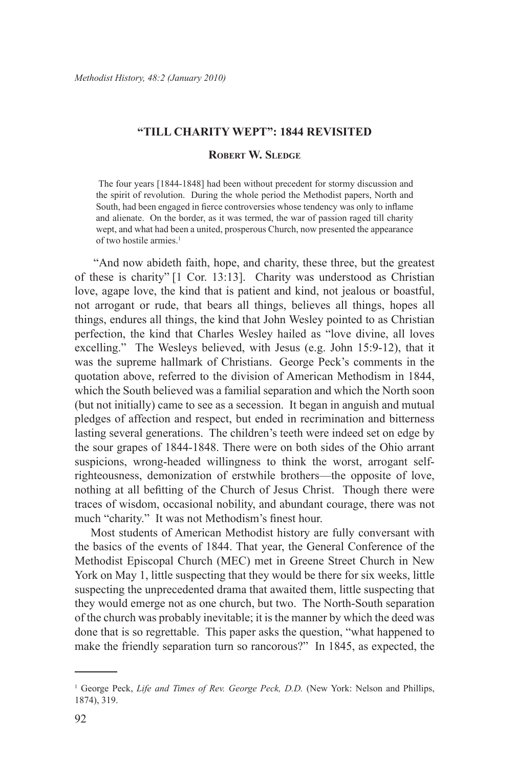#### **"Till Charity Wept": 1844 Revisited**

#### **Robert W. Sledge**

 The four years [1844-1848] had been without precedent for stormy discussion and the spirit of revolution. During the whole period the Methodist papers, North and South, had been engaged in fierce controversies whose tendency was only to inflame and alienate. On the border, as it was termed, the war of passion raged till charity wept, and what had been a united, prosperous Church, now presented the appearance of two hostile armies.<sup>1</sup>

"And now abideth faith, hope, and charity, these three, but the greatest of these is charity" [1 Cor. 13:13]. Charity was understood as Christian love, agape love, the kind that is patient and kind, not jealous or boastful, not arrogant or rude, that bears all things, believes all things, hopes all things, endures all things, the kind that John Wesley pointed to as Christian perfection, the kind that Charles Wesley hailed as "love divine, all loves excelling." The Wesleys believed, with Jesus (e.g. John 15:9-12), that it was the supreme hallmark of Christians. George Peck's comments in the quotation above, referred to the division of American Methodism in 1844, which the South believed was a familial separation and which the North soon (but not initially) came to see as a secession. It began in anguish and mutual pledges of affection and respect, but ended in recrimination and bitterness lasting several generations. The children's teeth were indeed set on edge by the sour grapes of 1844-1848. There were on both sides of the Ohio arrant suspicions, wrong-headed willingness to think the worst, arrogant selfrighteousness, demonization of erstwhile brothers—the opposite of love, nothing at all befitting of the Church of Jesus Christ. Though there were traces of wisdom, occasional nobility, and abundant courage, there was not much "charity." It was not Methodism's finest hour.

Most students of American Methodist history are fully conversant with the basics of the events of 1844. That year, the General Conference of the Methodist Episcopal Church (MEC) met in Greene Street Church in New York on May 1, little suspecting that they would be there for six weeks, little suspecting the unprecedented drama that awaited them, little suspecting that they would emerge not as one church, but two. The North-South separation of the church was probably inevitable; it is the manner by which the deed was done that is so regrettable. This paper asks the question, "what happened to make the friendly separation turn so rancorous?" In 1845, as expected, the

<sup>1</sup> George Peck, *Life and Times of Rev. George Peck, D.D.* (New York: Nelson and Phillips, 1874), 319.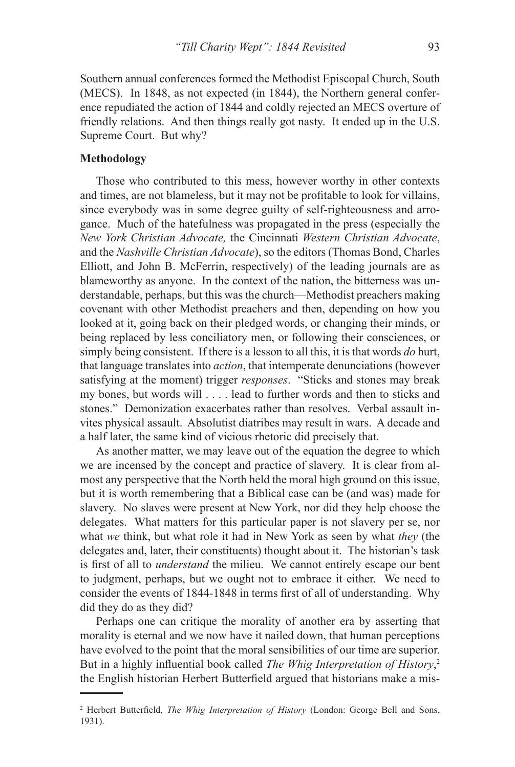Southern annual conferences formed the Methodist Episcopal Church, South (MECS). In 1848, as not expected (in 1844), the Northern general conference repudiated the action of 1844 and coldly rejected an MECS overture of friendly relations. And then things really got nasty. It ended up in the U.S. Supreme Court. But why?

#### **Methodology**

Those who contributed to this mess, however worthy in other contexts and times, are not blameless, but it may not be profitable to look for villains, since everybody was in some degree guilty of self-righteousness and arrogance. Much of the hatefulness was propagated in the press (especially the *New York Christian Advocate,* the Cincinnati *Western Christian Advocate*, and the *Nashville Christian Advocate*), so the editors (Thomas Bond, Charles Elliott, and John B. McFerrin, respectively) of the leading journals are as blameworthy as anyone. In the context of the nation, the bitterness was understandable, perhaps, but this was the church—Methodist preachers making covenant with other Methodist preachers and then, depending on how you looked at it, going back on their pledged words, or changing their minds, or being replaced by less conciliatory men, or following their consciences, or simply being consistent. If there is a lesson to all this, it is that words *do* hurt, that language translates into *action*, that intemperate denunciations (however satisfying at the moment) trigger *responses*. "Sticks and stones may break my bones, but words will . . . . lead to further words and then to sticks and stones." Demonization exacerbates rather than resolves. Verbal assault invites physical assault. Absolutist diatribes may result in wars. A decade and a half later, the same kind of vicious rhetoric did precisely that.

As another matter, we may leave out of the equation the degree to which we are incensed by the concept and practice of slavery. It is clear from almost any perspective that the North held the moral high ground on this issue, but it is worth remembering that a Biblical case can be (and was) made for slavery. No slaves were present at New York, nor did they help choose the delegates. What matters for this particular paper is not slavery per se, nor what *we* think, but what role it had in New York as seen by what *they* (the delegates and, later, their constituents) thought about it. The historian's task is first of all to *understand* the milieu. We cannot entirely escape our bent to judgment, perhaps, but we ought not to embrace it either. We need to consider the events of 1844-1848 in terms first of all of understanding. Why did they do as they did?

Perhaps one can critique the morality of another era by asserting that morality is eternal and we now have it nailed down, that human perceptions have evolved to the point that the moral sensibilities of our time are superior. But in a highly influential book called *The Whig Interpretation of History*, 2 the English historian Herbert Butterfield argued that historians make a mis-

<sup>2</sup> Herbert Butterfield, *The Whig Interpretation of History* (London: George Bell and Sons, 1931).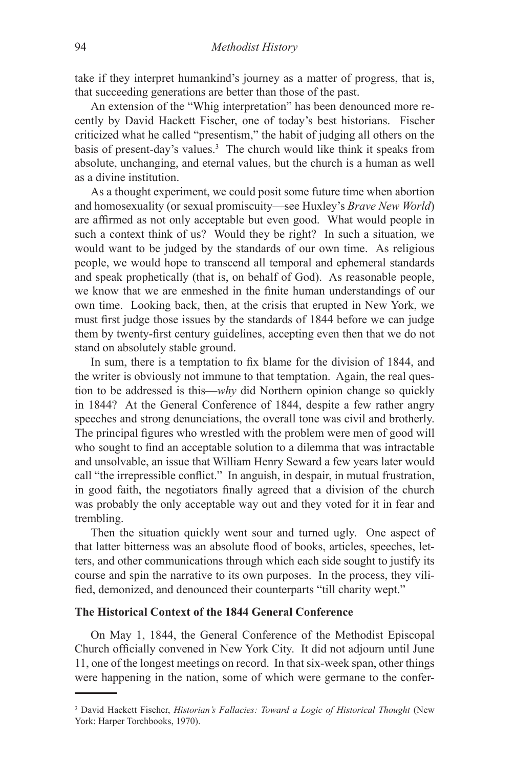take if they interpret humankind's journey as a matter of progress, that is, that succeeding generations are better than those of the past.

An extension of the "Whig interpretation" has been denounced more recently by David Hackett Fischer, one of today's best historians. Fischer criticized what he called "presentism," the habit of judging all others on the basis of present-day's values.3 The church would like think it speaks from absolute, unchanging, and eternal values, but the church is a human as well as a divine institution.

As a thought experiment, we could posit some future time when abortion and homosexuality (or sexual promiscuity—see Huxley's *Brave New World*) are affirmed as not only acceptable but even good. What would people in such a context think of us? Would they be right? In such a situation, we would want to be judged by the standards of our own time. As religious people, we would hope to transcend all temporal and ephemeral standards and speak prophetically (that is, on behalf of God). As reasonable people, we know that we are enmeshed in the finite human understandings of our own time. Looking back, then, at the crisis that erupted in New York, we must first judge those issues by the standards of 1844 before we can judge them by twenty-first century guidelines, accepting even then that we do not stand on absolutely stable ground.

In sum, there is a temptation to fix blame for the division of 1844, and the writer is obviously not immune to that temptation. Again, the real question to be addressed is this—*why* did Northern opinion change so quickly in 1844? At the General Conference of 1844, despite a few rather angry speeches and strong denunciations, the overall tone was civil and brotherly. The principal figures who wrestled with the problem were men of good will who sought to find an acceptable solution to a dilemma that was intractable and unsolvable, an issue that William Henry Seward a few years later would call "the irrepressible conflict." In anguish, in despair, in mutual frustration, in good faith, the negotiators finally agreed that a division of the church was probably the only acceptable way out and they voted for it in fear and trembling.

Then the situation quickly went sour and turned ugly. One aspect of that latter bitterness was an absolute flood of books, articles, speeches, letters, and other communications through which each side sought to justify its course and spin the narrative to its own purposes. In the process, they vilified, demonized, and denounced their counterparts "till charity wept."

# **The Historical Context of the 1844 General Conference**

On May 1, 1844, the General Conference of the Methodist Episcopal Church officially convened in New York City. It did not adjourn until June 11, one of the longest meetings on record. In that six-week span, other things were happening in the nation, some of which were germane to the confer-

<sup>3</sup> David Hackett Fischer, *Historian's Fallacies: Toward a Logic of Historical Thought* (New York: Harper Torchbooks, 1970).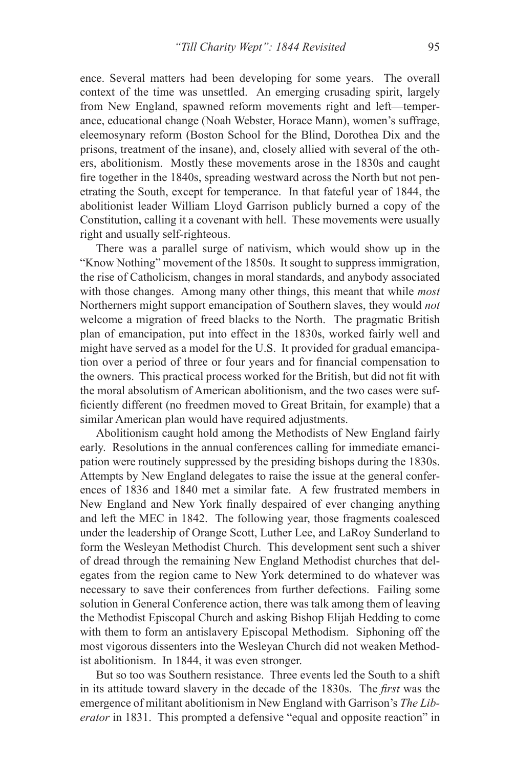ence. Several matters had been developing for some years. The overall context of the time was unsettled. An emerging crusading spirit, largely from New England, spawned reform movements right and left—temperance, educational change (Noah Webster, Horace Mann), women's suffrage, eleemosynary reform (Boston School for the Blind, Dorothea Dix and the prisons, treatment of the insane), and, closely allied with several of the others, abolitionism. Mostly these movements arose in the 1830s and caught fire together in the 1840s, spreading westward across the North but not penetrating the South, except for temperance. In that fateful year of 1844, the abolitionist leader William Lloyd Garrison publicly burned a copy of the Constitution, calling it a covenant with hell. These movements were usually right and usually self-righteous.

There was a parallel surge of nativism, which would show up in the "Know Nothing" movement of the 1850s. It sought to suppress immigration, the rise of Catholicism, changes in moral standards, and anybody associated with those changes. Among many other things, this meant that while *most* Northerners might support emancipation of Southern slaves, they would *not* welcome a migration of freed blacks to the North. The pragmatic British plan of emancipation, put into effect in the 1830s, worked fairly well and might have served as a model for the U.S. It provided for gradual emancipation over a period of three or four years and for financial compensation to the owners. This practical process worked for the British, but did not fit with the moral absolutism of American abolitionism, and the two cases were sufficiently different (no freedmen moved to Great Britain, for example) that a similar American plan would have required adjustments.

Abolitionism caught hold among the Methodists of New England fairly early. Resolutions in the annual conferences calling for immediate emancipation were routinely suppressed by the presiding bishops during the 1830s. Attempts by New England delegates to raise the issue at the general conferences of 1836 and 1840 met a similar fate. A few frustrated members in New England and New York finally despaired of ever changing anything and left the MEC in 1842. The following year, those fragments coalesced under the leadership of Orange Scott, Luther Lee, and LaRoy Sunderland to form the Wesleyan Methodist Church. This development sent such a shiver of dread through the remaining New England Methodist churches that delegates from the region came to New York determined to do whatever was necessary to save their conferences from further defections. Failing some solution in General Conference action, there was talk among them of leaving the Methodist Episcopal Church and asking Bishop Elijah Hedding to come with them to form an antislavery Episcopal Methodism. Siphoning off the most vigorous dissenters into the Wesleyan Church did not weaken Methodist abolitionism. In 1844, it was even stronger.

But so too was Southern resistance. Three events led the South to a shift in its attitude toward slavery in the decade of the 1830s. The *first* was the emergence of militant abolitionism in New England with Garrison's *The Liberator* in 1831. This prompted a defensive "equal and opposite reaction" in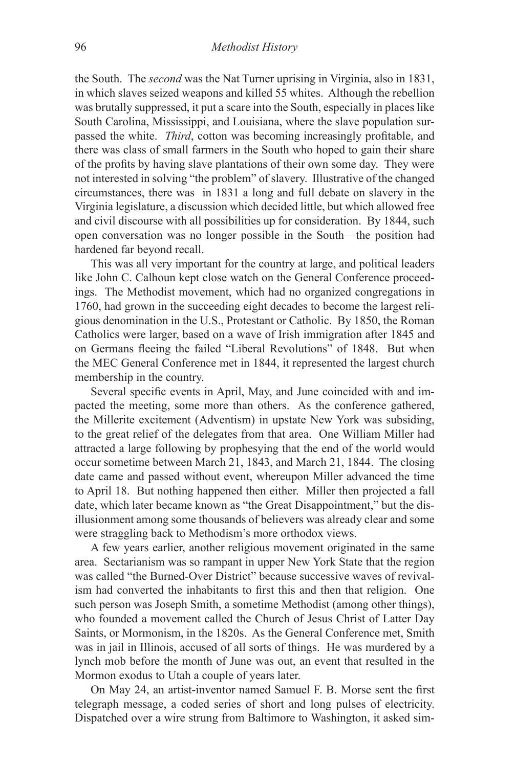the South. The *second* was the Nat Turner uprising in Virginia, also in 1831, in which slaves seized weapons and killed 55 whites. Although the rebellion was brutally suppressed, it put a scare into the South, especially in places like South Carolina, Mississippi, and Louisiana, where the slave population surpassed the white. *Third*, cotton was becoming increasingly profitable, and there was class of small farmers in the South who hoped to gain their share of the profits by having slave plantations of their own some day. They were not interested in solving "the problem" of slavery. Illustrative of the changed circumstances, there was in 1831 a long and full debate on slavery in the Virginia legislature, a discussion which decided little, but which allowed free and civil discourse with all possibilities up for consideration. By 1844, such open conversation was no longer possible in the South—the position had hardened far beyond recall.

This was all very important for the country at large, and political leaders like John C. Calhoun kept close watch on the General Conference proceedings. The Methodist movement, which had no organized congregations in 1760, had grown in the succeeding eight decades to become the largest religious denomination in the U.S., Protestant or Catholic. By 1850, the Roman Catholics were larger, based on a wave of Irish immigration after 1845 and on Germans fleeing the failed "Liberal Revolutions" of 1848. But when the MEC General Conference met in 1844, it represented the largest church membership in the country.

Several specific events in April, May, and June coincided with and impacted the meeting, some more than others. As the conference gathered, the Millerite excitement (Adventism) in upstate New York was subsiding, to the great relief of the delegates from that area. One William Miller had attracted a large following by prophesying that the end of the world would occur sometime between March 21, 1843, and March 21, 1844. The closing date came and passed without event, whereupon Miller advanced the time to April 18. But nothing happened then either. Miller then projected a fall date, which later became known as "the Great Disappointment," but the disillusionment among some thousands of believers was already clear and some were straggling back to Methodism's more orthodox views.

A few years earlier, another religious movement originated in the same area. Sectarianism was so rampant in upper New York State that the region was called "the Burned-Over District" because successive waves of revivalism had converted the inhabitants to first this and then that religion. One such person was Joseph Smith, a sometime Methodist (among other things), who founded a movement called the Church of Jesus Christ of Latter Day Saints, or Mormonism, in the 1820s. As the General Conference met, Smith was in jail in Illinois, accused of all sorts of things. He was murdered by a lynch mob before the month of June was out, an event that resulted in the Mormon exodus to Utah a couple of years later.

On May 24, an artist-inventor named Samuel F. B. Morse sent the first telegraph message, a coded series of short and long pulses of electricity. Dispatched over a wire strung from Baltimore to Washington, it asked sim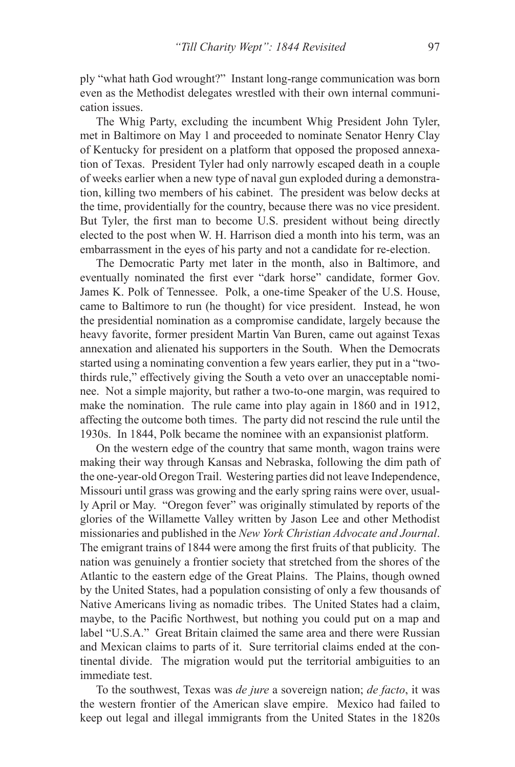ply "what hath God wrought?" Instant long-range communication was born even as the Methodist delegates wrestled with their own internal communication issues.

The Whig Party, excluding the incumbent Whig President John Tyler, met in Baltimore on May 1 and proceeded to nominate Senator Henry Clay of Kentucky for president on a platform that opposed the proposed annexation of Texas. President Tyler had only narrowly escaped death in a couple of weeks earlier when a new type of naval gun exploded during a demonstration, killing two members of his cabinet. The president was below decks at the time, providentially for the country, because there was no vice president. But Tyler, the first man to become U.S. president without being directly elected to the post when W. H. Harrison died a month into his term, was an embarrassment in the eyes of his party and not a candidate for re-election.

The Democratic Party met later in the month, also in Baltimore, and eventually nominated the first ever "dark horse" candidate, former Gov. James K. Polk of Tennessee. Polk, a one-time Speaker of the U.S. House, came to Baltimore to run (he thought) for vice president. Instead, he won the presidential nomination as a compromise candidate, largely because the heavy favorite, former president Martin Van Buren, came out against Texas annexation and alienated his supporters in the South. When the Democrats started using a nominating convention a few years earlier, they put in a "twothirds rule," effectively giving the South a veto over an unacceptable nominee. Not a simple majority, but rather a two-to-one margin, was required to make the nomination. The rule came into play again in 1860 and in 1912, affecting the outcome both times. The party did not rescind the rule until the 1930s. In 1844, Polk became the nominee with an expansionist platform.

On the western edge of the country that same month, wagon trains were making their way through Kansas and Nebraska, following the dim path of the one-year-old Oregon Trail. Westering parties did not leave Independence, Missouri until grass was growing and the early spring rains were over, usually April or May. "Oregon fever" was originally stimulated by reports of the glories of the Willamette Valley written by Jason Lee and other Methodist missionaries and published in the *New York Christian Advocate and Journal*. The emigrant trains of 1844 were among the first fruits of that publicity. The nation was genuinely a frontier society that stretched from the shores of the Atlantic to the eastern edge of the Great Plains. The Plains, though owned by the United States, had a population consisting of only a few thousands of Native Americans living as nomadic tribes. The United States had a claim, maybe, to the Pacific Northwest, but nothing you could put on a map and label "U.S.A." Great Britain claimed the same area and there were Russian and Mexican claims to parts of it. Sure territorial claims ended at the continental divide. The migration would put the territorial ambiguities to an immediate test.

To the southwest, Texas was *de jure* a sovereign nation; *de facto*, it was the western frontier of the American slave empire. Mexico had failed to keep out legal and illegal immigrants from the United States in the 1820s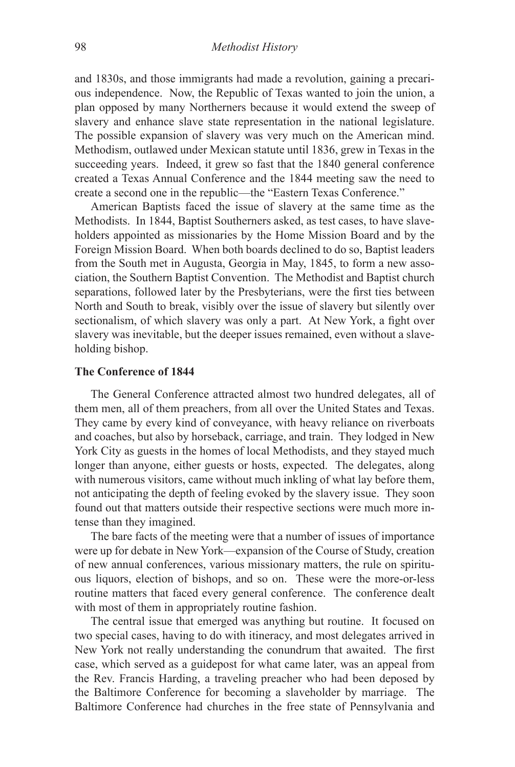and 1830s, and those immigrants had made a revolution, gaining a precarious independence. Now, the Republic of Texas wanted to join the union, a plan opposed by many Northerners because it would extend the sweep of slavery and enhance slave state representation in the national legislature. The possible expansion of slavery was very much on the American mind. Methodism, outlawed under Mexican statute until 1836, grew in Texas in the succeeding years. Indeed, it grew so fast that the 1840 general conference created a Texas Annual Conference and the 1844 meeting saw the need to create a second one in the republic—the "Eastern Texas Conference."

American Baptists faced the issue of slavery at the same time as the Methodists. In 1844, Baptist Southerners asked, as test cases, to have slaveholders appointed as missionaries by the Home Mission Board and by the Foreign Mission Board. When both boards declined to do so, Baptist leaders from the South met in Augusta, Georgia in May, 1845, to form a new association, the Southern Baptist Convention. The Methodist and Baptist church separations, followed later by the Presbyterians, were the first ties between North and South to break, visibly over the issue of slavery but silently over sectionalism, of which slavery was only a part. At New York, a fight over slavery was inevitable, but the deeper issues remained, even without a slaveholding bishop.

## **The Conference of 1844**

The General Conference attracted almost two hundred delegates, all of them men, all of them preachers, from all over the United States and Texas. They came by every kind of conveyance, with heavy reliance on riverboats and coaches, but also by horseback, carriage, and train. They lodged in New York City as guests in the homes of local Methodists, and they stayed much longer than anyone, either guests or hosts, expected. The delegates, along with numerous visitors, came without much inkling of what lay before them, not anticipating the depth of feeling evoked by the slavery issue. They soon found out that matters outside their respective sections were much more intense than they imagined.

The bare facts of the meeting were that a number of issues of importance were up for debate in New York—expansion of the Course of Study, creation of new annual conferences, various missionary matters, the rule on spirituous liquors, election of bishops, and so on. These were the more-or-less routine matters that faced every general conference. The conference dealt with most of them in appropriately routine fashion.

The central issue that emerged was anything but routine. It focused on two special cases, having to do with itineracy, and most delegates arrived in New York not really understanding the conundrum that awaited. The first case, which served as a guidepost for what came later, was an appeal from the Rev. Francis Harding, a traveling preacher who had been deposed by the Baltimore Conference for becoming a slaveholder by marriage. The Baltimore Conference had churches in the free state of Pennsylvania and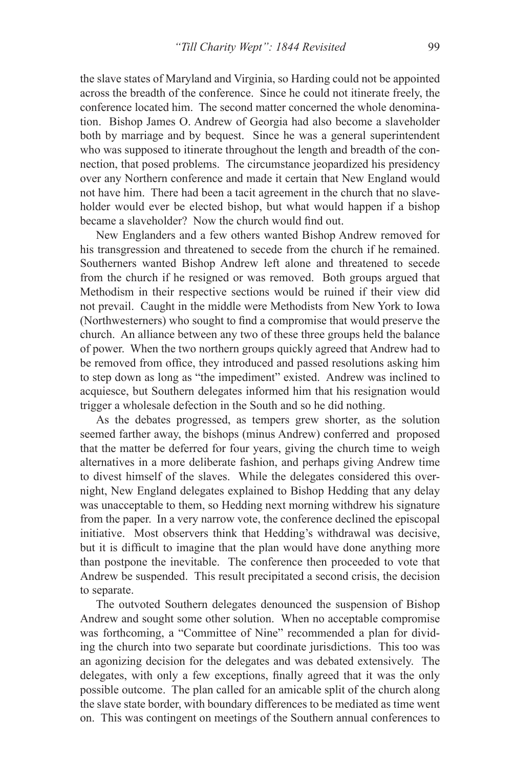the slave states of Maryland and Virginia, so Harding could not be appointed across the breadth of the conference. Since he could not itinerate freely, the conference located him. The second matter concerned the whole denomination. Bishop James O. Andrew of Georgia had also become a slaveholder both by marriage and by bequest. Since he was a general superintendent who was supposed to itinerate throughout the length and breadth of the connection, that posed problems. The circumstance jeopardized his presidency over any Northern conference and made it certain that New England would not have him. There had been a tacit agreement in the church that no slaveholder would ever be elected bishop, but what would happen if a bishop became a slaveholder? Now the church would find out.

New Englanders and a few others wanted Bishop Andrew removed for his transgression and threatened to secede from the church if he remained. Southerners wanted Bishop Andrew left alone and threatened to secede from the church if he resigned or was removed. Both groups argued that Methodism in their respective sections would be ruined if their view did not prevail. Caught in the middle were Methodists from New York to Iowa (Northwesterners) who sought to find a compromise that would preserve the church. An alliance between any two of these three groups held the balance of power. When the two northern groups quickly agreed that Andrew had to be removed from office, they introduced and passed resolutions asking him to step down as long as "the impediment" existed. Andrew was inclined to acquiesce, but Southern delegates informed him that his resignation would trigger a wholesale defection in the South and so he did nothing.

As the debates progressed, as tempers grew shorter, as the solution seemed farther away, the bishops (minus Andrew) conferred and proposed that the matter be deferred for four years, giving the church time to weigh alternatives in a more deliberate fashion, and perhaps giving Andrew time to divest himself of the slaves. While the delegates considered this overnight, New England delegates explained to Bishop Hedding that any delay was unacceptable to them, so Hedding next morning withdrew his signature from the paper. In a very narrow vote, the conference declined the episcopal initiative. Most observers think that Hedding's withdrawal was decisive, but it is difficult to imagine that the plan would have done anything more than postpone the inevitable. The conference then proceeded to vote that Andrew be suspended. This result precipitated a second crisis, the decision to separate.

The outvoted Southern delegates denounced the suspension of Bishop Andrew and sought some other solution. When no acceptable compromise was forthcoming, a "Committee of Nine" recommended a plan for dividing the church into two separate but coordinate jurisdictions. This too was an agonizing decision for the delegates and was debated extensively. The delegates, with only a few exceptions, finally agreed that it was the only possible outcome. The plan called for an amicable split of the church along the slave state border, with boundary differences to be mediated as time went on. This was contingent on meetings of the Southern annual conferences to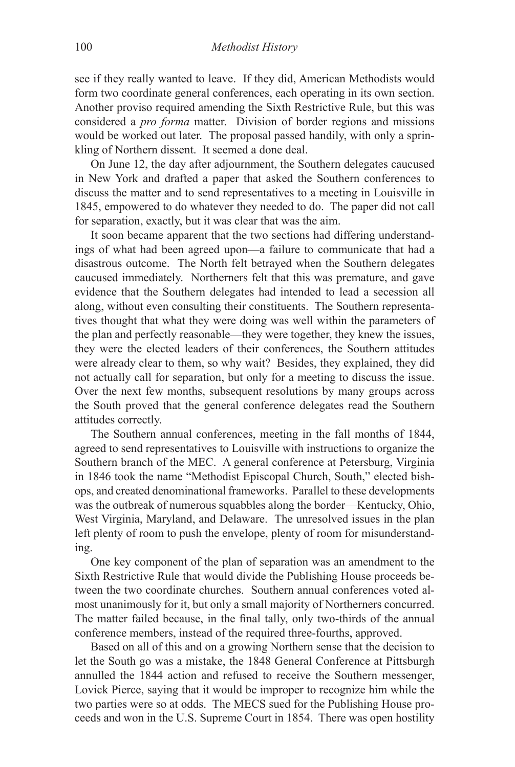see if they really wanted to leave. If they did, American Methodists would form two coordinate general conferences, each operating in its own section. Another proviso required amending the Sixth Restrictive Rule, but this was considered a *pro forma* matter. Division of border regions and missions would be worked out later. The proposal passed handily, with only a sprinkling of Northern dissent. It seemed a done deal.

On June 12, the day after adjournment, the Southern delegates caucused in New York and drafted a paper that asked the Southern conferences to discuss the matter and to send representatives to a meeting in Louisville in 1845, empowered to do whatever they needed to do. The paper did not call for separation, exactly, but it was clear that was the aim.

It soon became apparent that the two sections had differing understandings of what had been agreed upon—a failure to communicate that had a disastrous outcome. The North felt betrayed when the Southern delegates caucused immediately. Northerners felt that this was premature, and gave evidence that the Southern delegates had intended to lead a secession all along, without even consulting their constituents. The Southern representatives thought that what they were doing was well within the parameters of the plan and perfectly reasonable—they were together, they knew the issues, they were the elected leaders of their conferences, the Southern attitudes were already clear to them, so why wait? Besides, they explained, they did not actually call for separation, but only for a meeting to discuss the issue. Over the next few months, subsequent resolutions by many groups across the South proved that the general conference delegates read the Southern attitudes correctly.

The Southern annual conferences, meeting in the fall months of 1844, agreed to send representatives to Louisville with instructions to organize the Southern branch of the MEC. A general conference at Petersburg, Virginia in 1846 took the name "Methodist Episcopal Church, South," elected bishops, and created denominational frameworks. Parallel to these developments was the outbreak of numerous squabbles along the border—Kentucky, Ohio, West Virginia, Maryland, and Delaware. The unresolved issues in the plan left plenty of room to push the envelope, plenty of room for misunderstanding.

One key component of the plan of separation was an amendment to the Sixth Restrictive Rule that would divide the Publishing House proceeds between the two coordinate churches. Southern annual conferences voted almost unanimously for it, but only a small majority of Northerners concurred. The matter failed because, in the final tally, only two-thirds of the annual conference members, instead of the required three-fourths, approved.

Based on all of this and on a growing Northern sense that the decision to let the South go was a mistake, the 1848 General Conference at Pittsburgh annulled the 1844 action and refused to receive the Southern messenger, Lovick Pierce, saying that it would be improper to recognize him while the two parties were so at odds. The MECS sued for the Publishing House proceeds and won in the U.S. Supreme Court in 1854. There was open hostility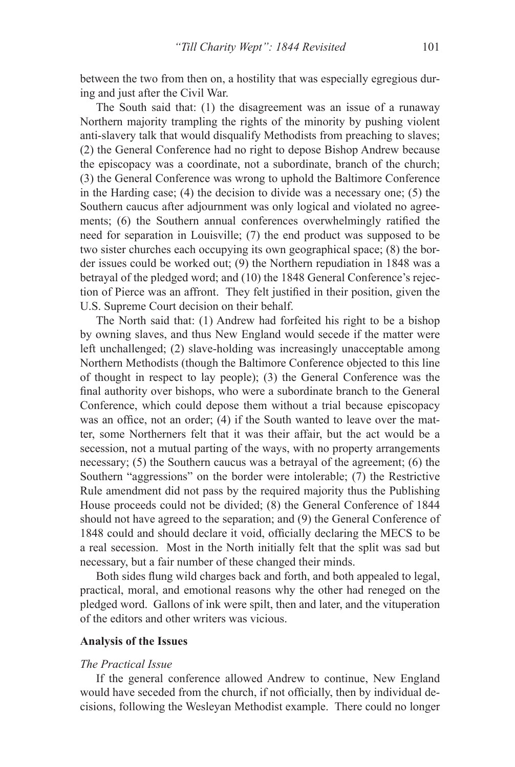between the two from then on, a hostility that was especially egregious during and just after the Civil War.

The South said that: (1) the disagreement was an issue of a runaway Northern majority trampling the rights of the minority by pushing violent anti-slavery talk that would disqualify Methodists from preaching to slaves; (2) the General Conference had no right to depose Bishop Andrew because the episcopacy was a coordinate, not a subordinate, branch of the church; (3) the General Conference was wrong to uphold the Baltimore Conference in the Harding case; (4) the decision to divide was a necessary one; (5) the Southern caucus after adjournment was only logical and violated no agreements; (6) the Southern annual conferences overwhelmingly ratified the need for separation in Louisville; (7) the end product was supposed to be two sister churches each occupying its own geographical space; (8) the border issues could be worked out; (9) the Northern repudiation in 1848 was a betrayal of the pledged word; and (10) the 1848 General Conference's rejection of Pierce was an affront. They felt justified in their position, given the U.S. Supreme Court decision on their behalf.

The North said that: (1) Andrew had forfeited his right to be a bishop by owning slaves, and thus New England would secede if the matter were left unchallenged; (2) slave-holding was increasingly unacceptable among Northern Methodists (though the Baltimore Conference objected to this line of thought in respect to lay people); (3) the General Conference was the final authority over bishops, who were a subordinate branch to the General Conference, which could depose them without a trial because episcopacy was an office, not an order; (4) if the South wanted to leave over the matter, some Northerners felt that it was their affair, but the act would be a secession, not a mutual parting of the ways, with no property arrangements necessary; (5) the Southern caucus was a betrayal of the agreement; (6) the Southern "aggressions" on the border were intolerable; (7) the Restrictive Rule amendment did not pass by the required majority thus the Publishing House proceeds could not be divided; (8) the General Conference of 1844 should not have agreed to the separation; and (9) the General Conference of 1848 could and should declare it void, officially declaring the MECS to be a real secession. Most in the North initially felt that the split was sad but necessary, but a fair number of these changed their minds.

Both sides flung wild charges back and forth, and both appealed to legal, practical, moral, and emotional reasons why the other had reneged on the pledged word. Gallons of ink were spilt, then and later, and the vituperation of the editors and other writers was vicious.

# **Analysis of the Issues**

#### *The Practical Issue*

If the general conference allowed Andrew to continue, New England would have seceded from the church, if not officially, then by individual decisions, following the Wesleyan Methodist example. There could no longer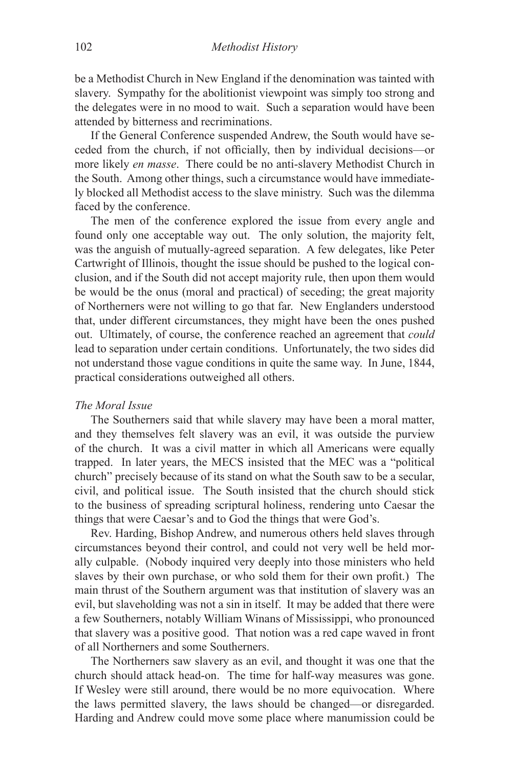be a Methodist Church in New England if the denomination was tainted with slavery. Sympathy for the abolitionist viewpoint was simply too strong and the delegates were in no mood to wait. Such a separation would have been attended by bitterness and recriminations.

If the General Conference suspended Andrew, the South would have seceded from the church, if not officially, then by individual decisions—or more likely *en masse*. There could be no anti-slavery Methodist Church in the South. Among other things, such a circumstance would have immediately blocked all Methodist access to the slave ministry. Such was the dilemma faced by the conference.

The men of the conference explored the issue from every angle and found only one acceptable way out. The only solution, the majority felt, was the anguish of mutually-agreed separation. A few delegates, like Peter Cartwright of Illinois, thought the issue should be pushed to the logical conclusion, and if the South did not accept majority rule, then upon them would be would be the onus (moral and practical) of seceding; the great majority of Northerners were not willing to go that far. New Englanders understood that, under different circumstances, they might have been the ones pushed out. Ultimately, of course, the conference reached an agreement that *could* lead to separation under certain conditions. Unfortunately, the two sides did not understand those vague conditions in quite the same way. In June, 1844, practical considerations outweighed all others.

## *The Moral Issue*

The Southerners said that while slavery may have been a moral matter, and they themselves felt slavery was an evil, it was outside the purview of the church. It was a civil matter in which all Americans were equally trapped. In later years, the MECS insisted that the MEC was a "political church" precisely because of its stand on what the South saw to be a secular, civil, and political issue. The South insisted that the church should stick to the business of spreading scriptural holiness, rendering unto Caesar the things that were Caesar's and to God the things that were God's.

Rev. Harding, Bishop Andrew, and numerous others held slaves through circumstances beyond their control, and could not very well be held morally culpable. (Nobody inquired very deeply into those ministers who held slaves by their own purchase, or who sold them for their own profit.) The main thrust of the Southern argument was that institution of slavery was an evil, but slaveholding was not a sin in itself. It may be added that there were a few Southerners, notably William Winans of Mississippi, who pronounced that slavery was a positive good. That notion was a red cape waved in front of all Northerners and some Southerners.

The Northerners saw slavery as an evil, and thought it was one that the church should attack head-on. The time for half-way measures was gone. If Wesley were still around, there would be no more equivocation. Where the laws permitted slavery, the laws should be changed—or disregarded. Harding and Andrew could move some place where manumission could be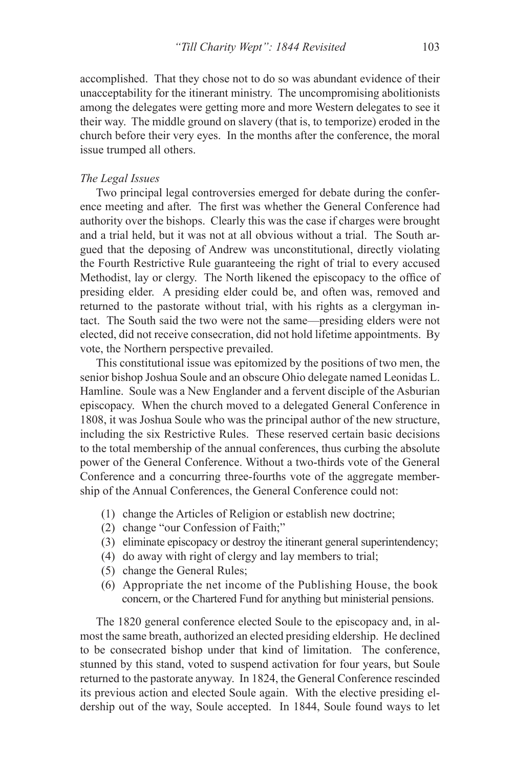accomplished. That they chose not to do so was abundant evidence of their unacceptability for the itinerant ministry. The uncompromising abolitionists among the delegates were getting more and more Western delegates to see it their way. The middle ground on slavery (that is, to temporize) eroded in the church before their very eyes. In the months after the conference, the moral issue trumped all others.

# *The Legal Issues*

Two principal legal controversies emerged for debate during the conference meeting and after. The first was whether the General Conference had authority over the bishops. Clearly this was the case if charges were brought and a trial held, but it was not at all obvious without a trial. The South argued that the deposing of Andrew was unconstitutional, directly violating the Fourth Restrictive Rule guaranteeing the right of trial to every accused Methodist, lay or clergy. The North likened the episcopacy to the office of presiding elder. A presiding elder could be, and often was, removed and returned to the pastorate without trial, with his rights as a clergyman intact. The South said the two were not the same—presiding elders were not elected, did not receive consecration, did not hold lifetime appointments. By vote, the Northern perspective prevailed.

This constitutional issue was epitomized by the positions of two men, the senior bishop Joshua Soule and an obscure Ohio delegate named Leonidas L. Hamline. Soule was a New Englander and a fervent disciple of the Asburian episcopacy. When the church moved to a delegated General Conference in 1808, it was Joshua Soule who was the principal author of the new structure, including the six Restrictive Rules. These reserved certain basic decisions to the total membership of the annual conferences, thus curbing the absolute power of the General Conference. Without a two-thirds vote of the General Conference and a concurring three-fourths vote of the aggregate membership of the Annual Conferences, the General Conference could not:

- (1) change the Articles of Religion or establish new doctrine;
- (2) change "our Confession of Faith;"
- (3) eliminate episcopacy or destroy the itinerant general superintendency;
- (4) do away with right of clergy and lay members to trial;
- (5) change the General Rules;
- (6) Appropriate the net income of the Publishing House, the book concern, or the Chartered Fund for anything but ministerial pensions.

The 1820 general conference elected Soule to the episcopacy and, in almost the same breath, authorized an elected presiding eldership. He declined to be consecrated bishop under that kind of limitation. The conference, stunned by this stand, voted to suspend activation for four years, but Soule returned to the pastorate anyway. In 1824, the General Conference rescinded its previous action and elected Soule again. With the elective presiding eldership out of the way, Soule accepted. In 1844, Soule found ways to let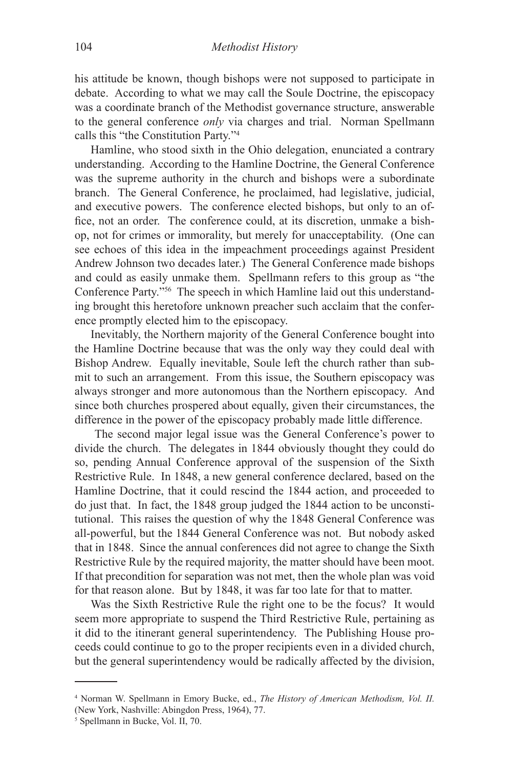his attitude be known, though bishops were not supposed to participate in debate. According to what we may call the Soule Doctrine, the episcopacy was a coordinate branch of the Methodist governance structure, answerable to the general conference *only* via charges and trial. Norman Spellmann calls this "the Constitution Party."4

Hamline, who stood sixth in the Ohio delegation, enunciated a contrary understanding. According to the Hamline Doctrine, the General Conference was the supreme authority in the church and bishops were a subordinate branch. The General Conference, he proclaimed, had legislative, judicial, and executive powers. The conference elected bishops, but only to an office, not an order. The conference could, at its discretion, unmake a bishop, not for crimes or immorality, but merely for unacceptability. (One can see echoes of this idea in the impeachment proceedings against President Andrew Johnson two decades later.) The General Conference made bishops and could as easily unmake them. Spellmann refers to this group as "the Conference Party."56 The speech in which Hamline laid out this understanding brought this heretofore unknown preacher such acclaim that the conference promptly elected him to the episcopacy.

Inevitably, the Northern majority of the General Conference bought into the Hamline Doctrine because that was the only way they could deal with Bishop Andrew. Equally inevitable, Soule left the church rather than submit to such an arrangement. From this issue, the Southern episcopacy was always stronger and more autonomous than the Northern episcopacy. And since both churches prospered about equally, given their circumstances, the difference in the power of the episcopacy probably made little difference.

 The second major legal issue was the General Conference's power to divide the church. The delegates in 1844 obviously thought they could do so, pending Annual Conference approval of the suspension of the Sixth Restrictive Rule. In 1848, a new general conference declared, based on the Hamline Doctrine, that it could rescind the 1844 action, and proceeded to do just that. In fact, the 1848 group judged the 1844 action to be unconstitutional. This raises the question of why the 1848 General Conference was all-powerful, but the 1844 General Conference was not. But nobody asked that in 1848. Since the annual conferences did not agree to change the Sixth Restrictive Rule by the required majority, the matter should have been moot. If that precondition for separation was not met, then the whole plan was void for that reason alone. But by 1848, it was far too late for that to matter.

Was the Sixth Restrictive Rule the right one to be the focus? It would seem more appropriate to suspend the Third Restrictive Rule, pertaining as it did to the itinerant general superintendency. The Publishing House proceeds could continue to go to the proper recipients even in a divided church, but the general superintendency would be radically affected by the division,

<sup>4</sup> Norman W. Spellmann in Emory Bucke, ed., *The History of American Methodism, Vol. II.* (New York, Nashville: Abingdon Press, 1964), 77.

<sup>5</sup> Spellmann in Bucke, Vol. II, 70.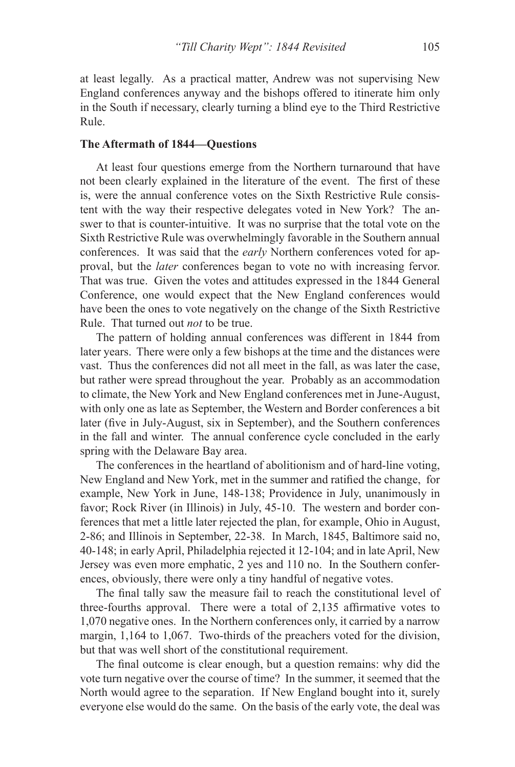at least legally. As a practical matter, Andrew was not supervising New England conferences anyway and the bishops offered to itinerate him only in the South if necessary, clearly turning a blind eye to the Third Restrictive Rule.

# **The Aftermath of 1844—Questions**

At least four questions emerge from the Northern turnaround that have not been clearly explained in the literature of the event. The first of these is, were the annual conference votes on the Sixth Restrictive Rule consistent with the way their respective delegates voted in New York? The answer to that is counter-intuitive. It was no surprise that the total vote on the Sixth Restrictive Rule was overwhelmingly favorable in the Southern annual conferences. It was said that the *early* Northern conferences voted for approval, but the *later* conferences began to vote no with increasing fervor. That was true. Given the votes and attitudes expressed in the 1844 General Conference, one would expect that the New England conferences would have been the ones to vote negatively on the change of the Sixth Restrictive Rule. That turned out *not* to be true.

The pattern of holding annual conferences was different in 1844 from later years. There were only a few bishops at the time and the distances were vast. Thus the conferences did not all meet in the fall, as was later the case, but rather were spread throughout the year. Probably as an accommodation to climate, the New York and New England conferences met in June-August, with only one as late as September, the Western and Border conferences a bit later (five in July-August, six in September), and the Southern conferences in the fall and winter. The annual conference cycle concluded in the early spring with the Delaware Bay area.

The conferences in the heartland of abolitionism and of hard-line voting, New England and New York, met in the summer and ratified the change, for example, New York in June, 148-138; Providence in July, unanimously in favor; Rock River (in Illinois) in July, 45-10. The western and border conferences that met a little later rejected the plan, for example, Ohio in August, 2-86; and Illinois in September, 22-38. In March, 1845, Baltimore said no, 40-148; in early April, Philadelphia rejected it 12-104; and in late April, New Jersey was even more emphatic, 2 yes and 110 no. In the Southern conferences, obviously, there were only a tiny handful of negative votes.

The final tally saw the measure fail to reach the constitutional level of three-fourths approval. There were a total of 2,135 affirmative votes to 1,070 negative ones. In the Northern conferences only, it carried by a narrow margin, 1,164 to 1,067. Two-thirds of the preachers voted for the division, but that was well short of the constitutional requirement.

The final outcome is clear enough, but a question remains: why did the vote turn negative over the course of time? In the summer, it seemed that the North would agree to the separation. If New England bought into it, surely everyone else would do the same. On the basis of the early vote, the deal was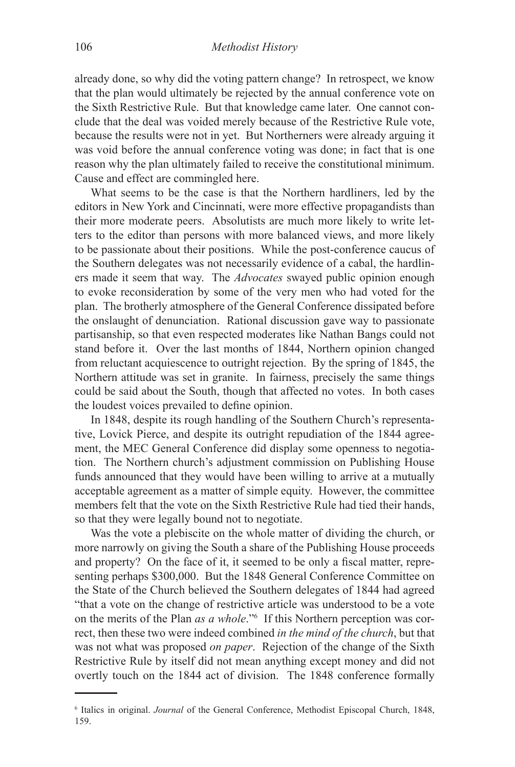already done, so why did the voting pattern change? In retrospect, we know that the plan would ultimately be rejected by the annual conference vote on the Sixth Restrictive Rule. But that knowledge came later. One cannot conclude that the deal was voided merely because of the Restrictive Rule vote, because the results were not in yet. But Northerners were already arguing it was void before the annual conference voting was done; in fact that is one reason why the plan ultimately failed to receive the constitutional minimum. Cause and effect are commingled here.

What seems to be the case is that the Northern hardliners, led by the editors in New York and Cincinnati, were more effective propagandists than their more moderate peers. Absolutists are much more likely to write letters to the editor than persons with more balanced views, and more likely to be passionate about their positions. While the post-conference caucus of the Southern delegates was not necessarily evidence of a cabal, the hardliners made it seem that way. The *Advocates* swayed public opinion enough to evoke reconsideration by some of the very men who had voted for the plan. The brotherly atmosphere of the General Conference dissipated before the onslaught of denunciation. Rational discussion gave way to passionate partisanship, so that even respected moderates like Nathan Bangs could not stand before it. Over the last months of 1844, Northern opinion changed from reluctant acquiescence to outright rejection. By the spring of 1845, the Northern attitude was set in granite. In fairness, precisely the same things could be said about the South, though that affected no votes. In both cases the loudest voices prevailed to define opinion.

In 1848, despite its rough handling of the Southern Church's representative, Lovick Pierce, and despite its outright repudiation of the 1844 agreement, the MEC General Conference did display some openness to negotiation. The Northern church's adjustment commission on Publishing House funds announced that they would have been willing to arrive at a mutually acceptable agreement as a matter of simple equity. However, the committee members felt that the vote on the Sixth Restrictive Rule had tied their hands, so that they were legally bound not to negotiate.

Was the vote a plebiscite on the whole matter of dividing the church, or more narrowly on giving the South a share of the Publishing House proceeds and property? On the face of it, it seemed to be only a fiscal matter, representing perhaps \$300,000. But the 1848 General Conference Committee on the State of the Church believed the Southern delegates of 1844 had agreed "that a vote on the change of restrictive article was understood to be a vote on the merits of the Plan *as a whole*."6 If this Northern perception was correct, then these two were indeed combined *in the mind of the church*, but that was not what was proposed *on paper*. Rejection of the change of the Sixth Restrictive Rule by itself did not mean anything except money and did not overtly touch on the 1844 act of division. The 1848 conference formally

<sup>6</sup> Italics in original. *Journal* of the General Conference, Methodist Episcopal Church, 1848, 159.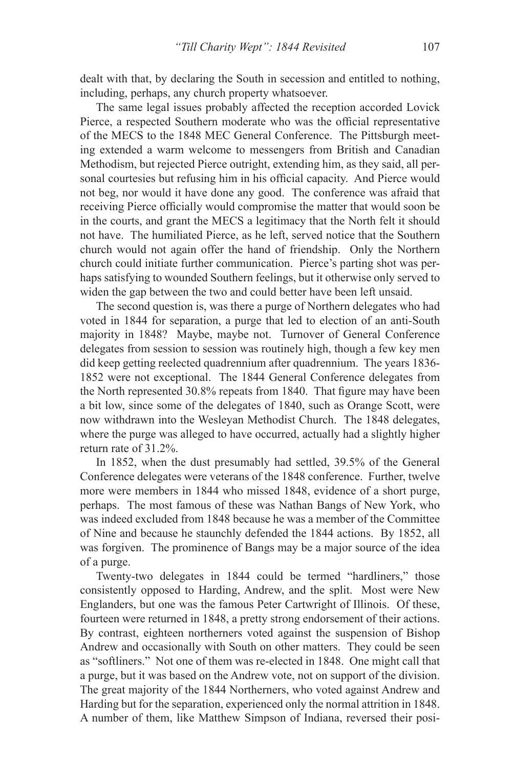dealt with that, by declaring the South in secession and entitled to nothing, including, perhaps, any church property whatsoever.

The same legal issues probably affected the reception accorded Lovick Pierce, a respected Southern moderate who was the official representative of the MECS to the 1848 MEC General Conference. The Pittsburgh meeting extended a warm welcome to messengers from British and Canadian Methodism, but rejected Pierce outright, extending him, as they said, all personal courtesies but refusing him in his official capacity. And Pierce would not beg, nor would it have done any good. The conference was afraid that receiving Pierce officially would compromise the matter that would soon be in the courts, and grant the MECS a legitimacy that the North felt it should not have. The humiliated Pierce, as he left, served notice that the Southern church would not again offer the hand of friendship. Only the Northern church could initiate further communication. Pierce's parting shot was perhaps satisfying to wounded Southern feelings, but it otherwise only served to widen the gap between the two and could better have been left unsaid.

The second question is, was there a purge of Northern delegates who had voted in 1844 for separation, a purge that led to election of an anti-South majority in 1848? Maybe, maybe not. Turnover of General Conference delegates from session to session was routinely high, though a few key men did keep getting reelected quadrennium after quadrennium. The years 1836- 1852 were not exceptional. The 1844 General Conference delegates from the North represented 30.8% repeats from 1840. That figure may have been a bit low, since some of the delegates of 1840, such as Orange Scott, were now withdrawn into the Wesleyan Methodist Church. The 1848 delegates, where the purge was alleged to have occurred, actually had a slightly higher return rate of 31.2%.

In 1852, when the dust presumably had settled, 39.5% of the General Conference delegates were veterans of the 1848 conference. Further, twelve more were members in 1844 who missed 1848, evidence of a short purge, perhaps. The most famous of these was Nathan Bangs of New York, who was indeed excluded from 1848 because he was a member of the Committee of Nine and because he staunchly defended the 1844 actions. By 1852, all was forgiven. The prominence of Bangs may be a major source of the idea of a purge.

Twenty-two delegates in 1844 could be termed "hardliners," those consistently opposed to Harding, Andrew, and the split. Most were New Englanders, but one was the famous Peter Cartwright of Illinois. Of these, fourteen were returned in 1848, a pretty strong endorsement of their actions. By contrast, eighteen northerners voted against the suspension of Bishop Andrew and occasionally with South on other matters. They could be seen as "softliners." Not one of them was re-elected in 1848. One might call that a purge, but it was based on the Andrew vote, not on support of the division. The great majority of the 1844 Northerners, who voted against Andrew and Harding but for the separation, experienced only the normal attrition in 1848. A number of them, like Matthew Simpson of Indiana, reversed their posi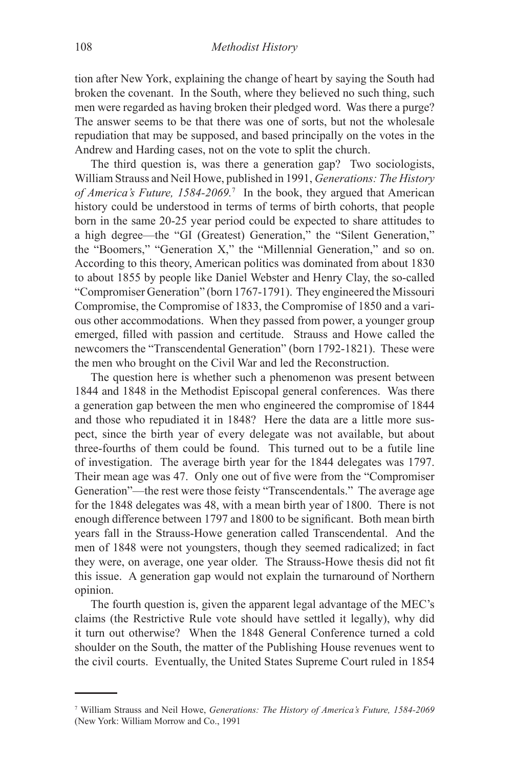tion after New York, explaining the change of heart by saying the South had broken the covenant. In the South, where they believed no such thing, such men were regarded as having broken their pledged word. Was there a purge? The answer seems to be that there was one of sorts, but not the wholesale repudiation that may be supposed, and based principally on the votes in the Andrew and Harding cases, not on the vote to split the church.

The third question is, was there a generation gap? Two sociologists, William Strauss and Neil Howe, published in 1991, *Generations: The History of America's Future, 1584-2069.*<sup>7</sup> In the book, they argued that American history could be understood in terms of terms of birth cohorts, that people born in the same 20-25 year period could be expected to share attitudes to a high degree—the "GI (Greatest) Generation," the "Silent Generation," the "Boomers," "Generation X," the "Millennial Generation," and so on. According to this theory, American politics was dominated from about 1830 to about 1855 by people like Daniel Webster and Henry Clay, the so-called "Compromiser Generation" (born 1767-1791). They engineered the Missouri Compromise, the Compromise of 1833, the Compromise of 1850 and a various other accommodations. When they passed from power, a younger group emerged, filled with passion and certitude. Strauss and Howe called the newcomers the "Transcendental Generation" (born 1792-1821). These were the men who brought on the Civil War and led the Reconstruction.

The question here is whether such a phenomenon was present between 1844 and 1848 in the Methodist Episcopal general conferences. Was there a generation gap between the men who engineered the compromise of 1844 and those who repudiated it in 1848? Here the data are a little more suspect, since the birth year of every delegate was not available, but about three-fourths of them could be found. This turned out to be a futile line of investigation. The average birth year for the 1844 delegates was 1797. Their mean age was 47. Only one out of five were from the "Compromiser Generation"—the rest were those feisty "Transcendentals." The average age for the 1848 delegates was 48, with a mean birth year of 1800. There is not enough difference between 1797 and 1800 to be significant. Both mean birth years fall in the Strauss-Howe generation called Transcendental. And the men of 1848 were not youngsters, though they seemed radicalized; in fact they were, on average, one year older. The Strauss-Howe thesis did not fit this issue. A generation gap would not explain the turnaround of Northern opinion.

The fourth question is, given the apparent legal advantage of the MEC's claims (the Restrictive Rule vote should have settled it legally), why did it turn out otherwise? When the 1848 General Conference turned a cold shoulder on the South, the matter of the Publishing House revenues went to the civil courts. Eventually, the United States Supreme Court ruled in 1854

<sup>7</sup> William Strauss and Neil Howe, *Generations: The History of America's Future, 1584-2069* (New York: William Morrow and Co., 1991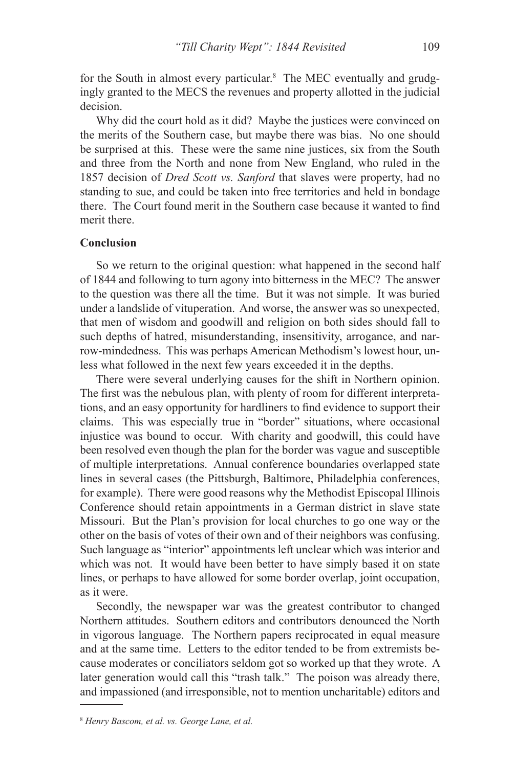for the South in almost every particular.<sup>8</sup> The MEC eventually and grudgingly granted to the MECS the revenues and property allotted in the judicial decision.

Why did the court hold as it did? Maybe the justices were convinced on the merits of the Southern case, but maybe there was bias. No one should be surprised at this. These were the same nine justices, six from the South and three from the North and none from New England, who ruled in the 1857 decision of *Dred Scott vs. Sanford* that slaves were property, had no standing to sue, and could be taken into free territories and held in bondage there. The Court found merit in the Southern case because it wanted to find merit there.

## **Conclusion**

So we return to the original question: what happened in the second half of 1844 and following to turn agony into bitterness in the MEC? The answer to the question was there all the time. But it was not simple. It was buried under a landslide of vituperation. And worse, the answer was so unexpected, that men of wisdom and goodwill and religion on both sides should fall to such depths of hatred, misunderstanding, insensitivity, arrogance, and narrow-mindedness. This was perhaps American Methodism's lowest hour, unless what followed in the next few years exceeded it in the depths.

There were several underlying causes for the shift in Northern opinion. The first was the nebulous plan, with plenty of room for different interpretations, and an easy opportunity for hardliners to find evidence to support their claims. This was especially true in "border" situations, where occasional injustice was bound to occur. With charity and goodwill, this could have been resolved even though the plan for the border was vague and susceptible of multiple interpretations. Annual conference boundaries overlapped state lines in several cases (the Pittsburgh, Baltimore, Philadelphia conferences, for example). There were good reasons why the Methodist Episcopal Illinois Conference should retain appointments in a German district in slave state Missouri. But the Plan's provision for local churches to go one way or the other on the basis of votes of their own and of their neighbors was confusing. Such language as "interior" appointments left unclear which was interior and which was not. It would have been better to have simply based it on state lines, or perhaps to have allowed for some border overlap, joint occupation, as it were.

Secondly, the newspaper war was the greatest contributor to changed Northern attitudes. Southern editors and contributors denounced the North in vigorous language. The Northern papers reciprocated in equal measure and at the same time. Letters to the editor tended to be from extremists because moderates or conciliators seldom got so worked up that they wrote. A later generation would call this "trash talk." The poison was already there, and impassioned (and irresponsible, not to mention uncharitable) editors and

<sup>8</sup> *Henry Bascom, et al. vs. George Lane, et al.*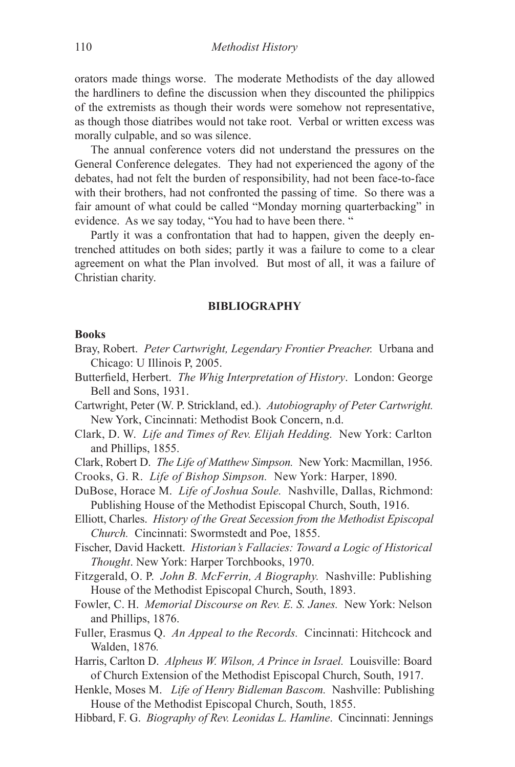orators made things worse. The moderate Methodists of the day allowed the hardliners to define the discussion when they discounted the philippics of the extremists as though their words were somehow not representative, as though those diatribes would not take root. Verbal or written excess was morally culpable, and so was silence.

The annual conference voters did not understand the pressures on the General Conference delegates. They had not experienced the agony of the debates, had not felt the burden of responsibility, had not been face-to-face with their brothers, had not confronted the passing of time. So there was a fair amount of what could be called "Monday morning quarterbacking" in evidence. As we say today, "You had to have been there. "

Partly it was a confrontation that had to happen, given the deeply entrenched attitudes on both sides; partly it was a failure to come to a clear agreement on what the Plan involved. But most of all, it was a failure of Christian charity.

#### **BIBLIOGRAPHY**

### **Books**

- Bray, Robert. *Peter Cartwright, Legendary Frontier Preacher.* Urbana and Chicago: U Illinois P, 2005.
- Butterfield, Herbert. *The Whig Interpretation of History*. London: George Bell and Sons, 1931.
- Cartwright, Peter (W. P. Strickland, ed.). *Autobiography of Peter Cartwright.*  New York, Cincinnati: Methodist Book Concern, n.d.
- Clark, D. W. *Life and Times of Rev. Elijah Hedding.* New York: Carlton and Phillips, 1855.
- Clark, Robert D. *The Life of Matthew Simpson.* New York: Macmillan, 1956.
- Crooks, G. R. *Life of Bishop Simpson.* New York: Harper, 1890.
- DuBose, Horace M. *Life of Joshua Soule.* Nashville, Dallas, Richmond: Publishing House of the Methodist Episcopal Church, South, 1916.
- Elliott, Charles. *History of the Great Secession from the Methodist Episcopal Church.* Cincinnati: Swormstedt and Poe, 1855.
- Fischer, David Hackett. *Historian's Fallacies: Toward a Logic of Historical Thought*. New York: Harper Torchbooks, 1970.
- Fitzgerald, O. P. *John B. McFerrin, A Biography.* Nashville: Publishing House of the Methodist Episcopal Church, South, 1893.
- Fowler, C. H. *Memorial Discourse on Rev. E. S. Janes.* New York: Nelson and Phillips, 1876.
- Fuller, Erasmus Q. *An Appeal to the Records.* Cincinnati: Hitchcock and Walden, 1876*.*
- Harris, Carlton D. *Alpheus W. Wilson, A Prince in Israel.* Louisville: Board of Church Extension of the Methodist Episcopal Church, South, 1917.
- Henkle, Moses M. *Life of Henry Bidleman Bascom.* Nashville: Publishing House of the Methodist Episcopal Church, South, 1855.
- Hibbard, F. G. *Biography of Rev. Leonidas L. Hamline*. Cincinnati: Jennings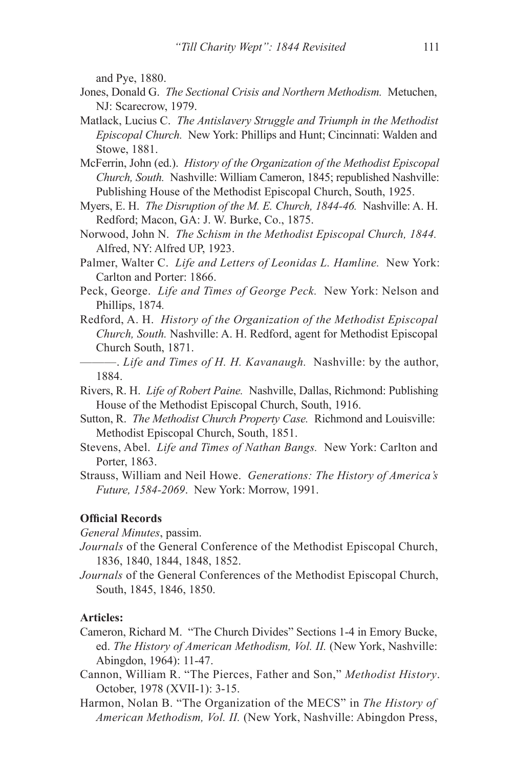and Pye, 1880.

- Jones, Donald G. *The Sectional Crisis and Northern Methodism.* Metuchen, NJ: Scarecrow, 1979.
- Matlack, Lucius C. *The Antislavery Struggle and Triumph in the Methodist Episcopal Church.* New York: Phillips and Hunt; Cincinnati: Walden and Stowe, 1881.
- McFerrin, John (ed.). *History of the Organization of the Methodist Episcopal Church, South.* Nashville: William Cameron, 1845; republished Nashville: Publishing House of the Methodist Episcopal Church, South, 1925.
- Myers, E. H. *The Disruption of the M. E. Church, 1844-46.* Nashville: A. H. Redford; Macon, GA: J. W. Burke, Co., 1875.
- Norwood, John N. *The Schism in the Methodist Episcopal Church, 1844.*  Alfred, NY: Alfred UP, 1923.
- Palmer, Walter C. *Life and Letters of Leonidas L. Hamline.* New York: Carlton and Porter: 1866.
- Peck, George. *Life and Times of George Peck.* New York: Nelson and Phillips, 1874*.*
- Redford, A. H. *History of the Organization of the Methodist Episcopal Church, South.* Nashville: A. H. Redford, agent for Methodist Episcopal Church South, 1871.
- ———. *Life and Times of H. H. Kavanaugh.* Nashville: by the author, 1884.
- Rivers, R. H. *Life of Robert Paine.* Nashville, Dallas, Richmond: Publishing House of the Methodist Episcopal Church, South, 1916.
- Sutton, R. *The Methodist Church Property Case.* Richmond and Louisville: Methodist Episcopal Church, South, 1851.
- Stevens, Abel. *Life and Times of Nathan Bangs.* New York: Carlton and Porter, 1863.
- Strauss, William and Neil Howe. *Generations: The History of America's Future, 1584-2069*. New York: Morrow, 1991.

# **Official Records**

*General Minutes*, passim.

- *Journals* of the General Conference of the Methodist Episcopal Church, 1836, 1840, 1844, 1848, 1852.
- *Journals* of the General Conferences of the Methodist Episcopal Church, South, 1845, 1846, 1850.

# **Articles:**

- Cameron, Richard M. "The Church Divides" Sections 1-4 in Emory Bucke, ed. *The History of American Methodism, Vol. II.* (New York, Nashville: Abingdon, 1964): 11-47.
- Cannon, William R. "The Pierces, Father and Son," *Methodist History*. October, 1978 (XVII-1): 3-15.
- Harmon, Nolan B. "The Organization of the MECS" in *The History of American Methodism, Vol. II.* (New York, Nashville: Abingdon Press,